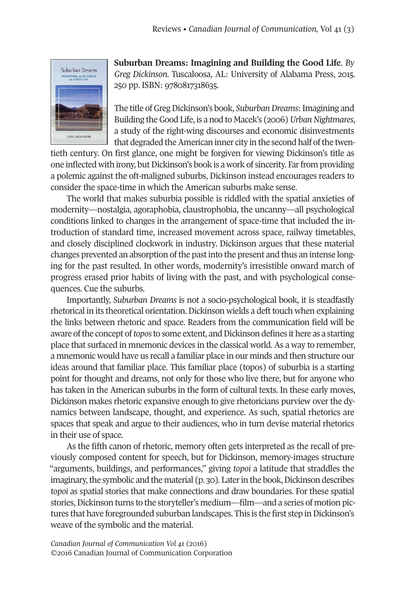

**Suburban Dreams: Imagining and Building the Good Life**. *By Greg Dickinson*. Tuscaloosa, AL: University of Alabama Press, 2015. 250 pp. ISBN: 9780817318635.

The title of Greg Dickinson's book, *Suburban Dreams*: Imagining and Building the Good Life, is a nod to Macek's (2006) Urban Nightmares, a study of the right-wing discourses and economic disinvestments that degraded the American inner city in the second half of the twen-

tieth century. On first glance, one might be forgiven for viewing Dickinson's title as one inflected with irony, but Dickinson's book is a work of sincerity. Far from providing a polemic against the oft-maligned suburbs, Dickinson instead encourages readers to consider the space-time in which the American suburbs make sense.

The world that makes suburbia possible is riddled with the spatial anxieties of modernity—nostalgia, agoraphobia, claustrophobia, the uncanny—all psychological conditions linked to changes in the arrangement of space-time that included the introduction of standard time, increased movement across space, railway timetables, and closely disciplined clockwork in industry. Dickinson argues that these material changes prevented an absorption of the past into the present and thus an intense longing for the past resulted. In other words, modernity's irresistible onward march of progress erased prior habits of living with the past, and with psychological consequences. Cue the suburbs.

Importantly, *Suburban Dreams* is not a socio-psychological book, it is steadfastly rhetorical in its theoretical orientation. Dickinson wields a deft touch when explaining the links between rhetoric and space. Readers from the communication field will be aware of the concept of *topos* to some extent, and Dickinson defines it here as a starting place that surfaced in mnemonic devices in the classical world. As a way to remember, a mnemonic would have us recall a familiar place in our minds and then structure our ideas around that familiar place. This familiar place (topos) of suburbia is a starting point for thought and dreams, not only for those who live there, but for anyone who has taken in the American suburbs in the form of cultural texts. In these early moves, Dickinson makes rhetoric expansive enough to give rhetoricians purview over the dynamics between landscape, thought, and experience. As such, spatial rhetorics are spaces that speak and argue to their audiences, who in turn devise material rhetorics in their use of space.

As the fifth canon of rhetoric, memory often gets interpreted as the recall of previously composed content for speech, but for Dickinson, memory-images structure "arguments, buildings, and performances," giving *topoi* a latitude that straddles the imaginary, the symbolic and the material (p. 30). Later in the book, Dickinson describes *topoi* as spatial stories that make connections and draw boundaries. For these spatial stories, Dickinson turns to the storyteller's medium—film—and a series of motion pictures that have foregrounded suburban landscapes. This is the first step in Dickinson's weave of the symbolic and the material.

*Canadian Journal of [Communication](http://www.cjc-online.ca) Vol 41* (2016) ©2016 Canadian Journal of Communication Corporation